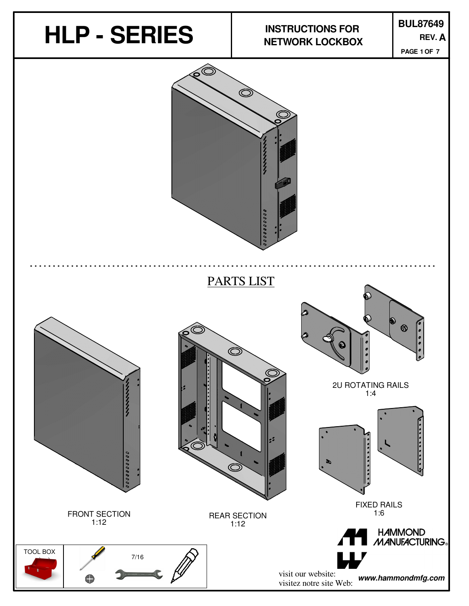

REAR SECTION 1:12

TOOL BOX 7/16 G

FRONT SECTION 1:12

**HAMMOND** MANUFACTURING®

FIXED RAILS 1:6

visit our website: visitez notre site Web: **www.hammondmfg.com**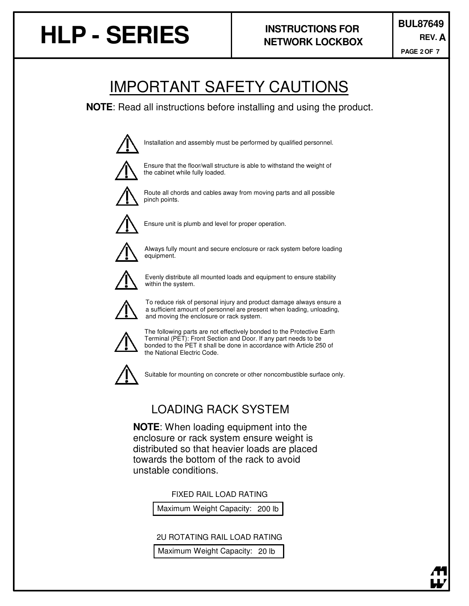# **HLP - SERIES REV.**

**PAGE OF 2 7**

### IMPORTANT SAFETY CAUTIONS

**NOTE**: Read all instructions before installing and using the product.



Installation and assembly must be performed by qualified personnel.



Ensure that the floor/wall structure is able to withstand the weight of the cabinet while fully loaded.



Route all chords and cables away from moving parts and all possible pinch points.



Ensure unit is plumb and level for proper operation.



Always fully mount and secure enclosure or rack system before loading equipment.



Evenly distribute all mounted loads and equipment to ensure stability within the system.



To reduce risk of personal injury and product damage always ensure a a sufficient amount of personnel are present when loading, unloading, and moving the enclosure or rack system.



The following parts are not effectively bonded to the Protective Earth Terminal (PET): Front Section and Door. If any part needs to be bonded to the PET it shall be done in accordance with Article 250 of the National Electric Code.



Suitable for mounting on concrete or other noncombustible surface only.

#### LOADING RACK SYSTEM

**NOTE**: When loading equipment into the enclosure or rack system ensure weight is distributed so that heavier loads are placed towards the bottom of the rack to avoid unstable conditions.

FIXED RAIL LOAD RATING

Maximum Weight Capacity: 200 lb

2U ROTATING RAIL LOAD RATING

Maximum Weight Capacity: 20 lb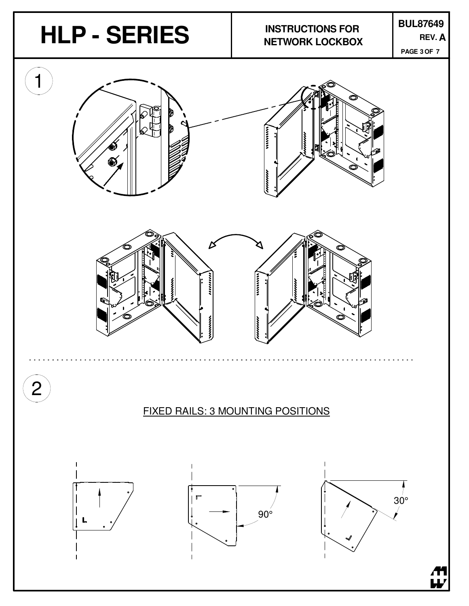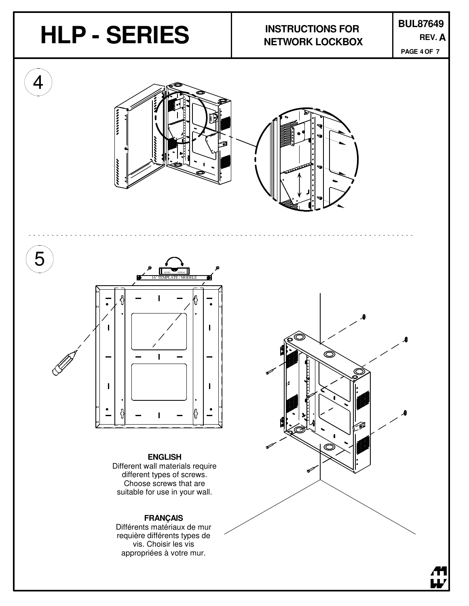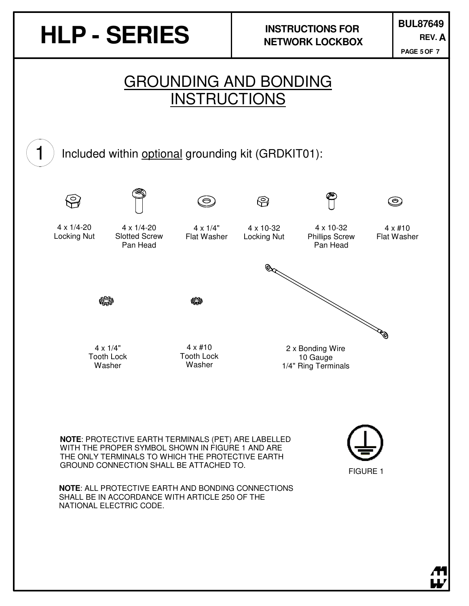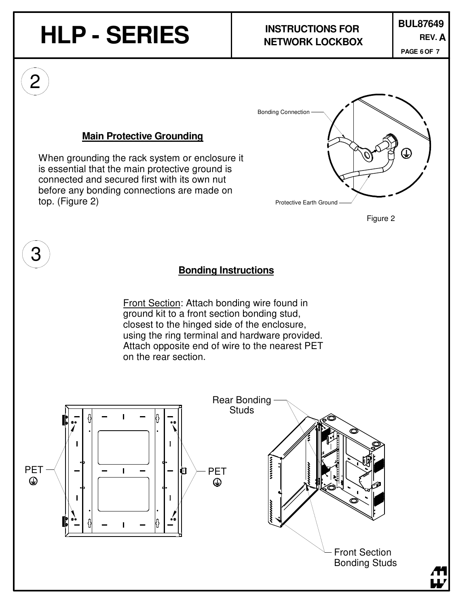